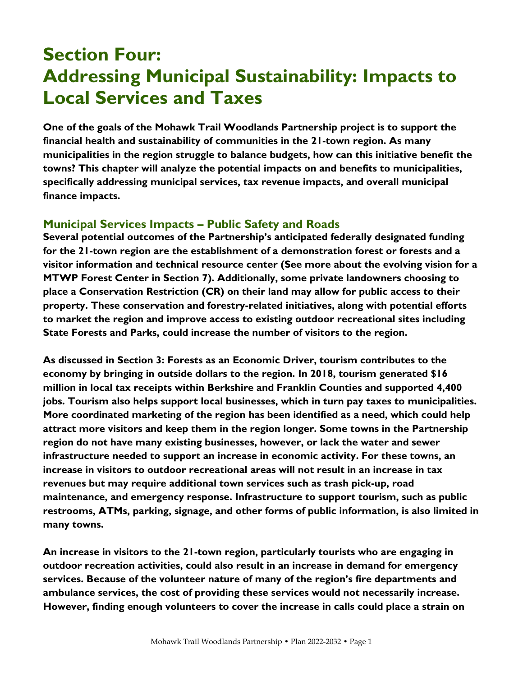# **Section Four: Addressing Municipal Sustainability: Impacts to Local Services and Taxes**

One of the goals of the Mohawk Trail Woodlands Partnership project is to support the financial health and sustainability of communities in the 21-town region. As many municipalities in the region struggle to balance budgets, how can this initiative benefit the towns? This chapter will analyze the potential impacts on and benefits to municipalities, specifically addressing municipal services, tax revenue impacts, and overall municipal finance impacts.

## **Municipal Services Impacts – Public Safety and Roads**

Several potential outcomes of the Partnership's anticipated federally designated funding for the 21-town region are the establishment of a demonstration forest or forests and a visitor information and technical resource center (See more about the evolving vision for a MTWP Forest Center in Section 7). Additionally, some private landowners choosing to place a Conservation Restriction (CR) on their land may allow for public access to their property. These conservation and forestry-related initiatives, along with potential efforts to market the region and improve access to existing outdoor recreational sites including State Forests and Parks, could increase the number of visitors to the region.

As discussed in Section 3: Forests as an Economic Driver, tourism contributes to the economy by bringing in outside dollars to the region. In 2018, tourism generated \$16 million in local tax receipts within Berkshire and Franklin Counties and supported 4,400 jobs. Tourism also helps support local businesses, which in turn pay taxes to municipalities. More coordinated marketing of the region has been identified as a need, which could help attract more visitors and keep them in the region longer. Some towns in the Partnership region do not have many existing businesses, however, or lack the water and sewer infrastructure needed to support an increase in economic activity. For these towns, an increase in visitors to outdoor recreational areas will not result in an increase in tax revenues but may require additional town services such as trash pick-up, road maintenance, and emergency response. Infrastructure to support tourism, such as public restrooms, ATMs, parking, signage, and other forms of public information, is also limited in many towns.

An increase in visitors to the 21-town region, particularly tourists who are engaging in outdoor recreation activities, could also result in an increase in demand for emergency services. Because of the volunteer nature of many of the region's fire departments and ambulance services, the cost of providing these services would not necessarily increase. However, finding enough volunteers to cover the increase in calls could place a strain on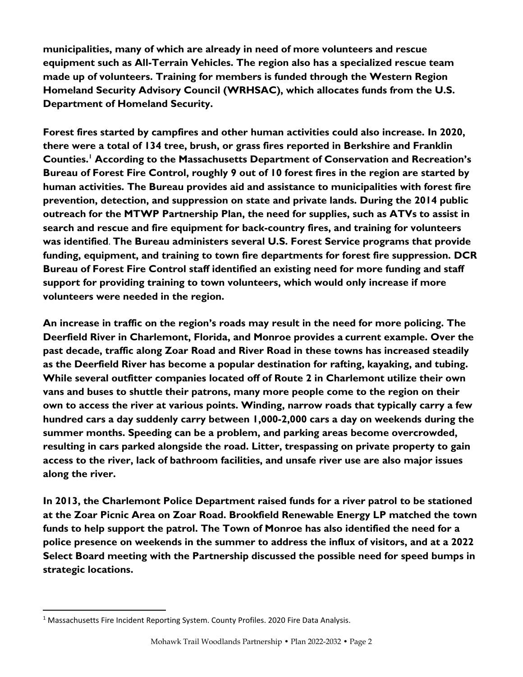municipalities, many of which are already in need of more volunteers and rescue equipment such as All-Terrain Vehicles. The region also has a specialized rescue team made up of volunteers. Training for members is funded through the Western Region Homeland Security Advisory Council (WRHSAC), which allocates funds from the U.S. Department of Homeland Security.

Forest fires started by campfires and other human activities could also increase. In 2020, there were a total of 134 tree, brush, or grass fires reported in Berkshire and Franklin Counties.<sup>1</sup> According to the Massachusetts Department of Conservation and Recreation's Bureau of Forest Fire Control, roughly 9 out of 10 forest fires in the region are started by human activities. The Bureau provides aid and assistance to municipalities with forest fire prevention, detection, and suppression on state and private lands. During the 2014 public outreach for the MTWP Partnership Plan, the need for supplies, such as ATVs to assist in search and rescue and fire equipment for back-country fires, and training for volunteers was identified. The Bureau administers several U.S. Forest Service programs that provide funding, equipment, and training to town fire departments for forest fire suppression. DCR Bureau of Forest Fire Control staff identified an existing need for more funding and staff support for providing training to town volunteers, which would only increase if more volunteers were needed in the region.

An increase in traffic on the region's roads may result in the need for more policing. The Deerfield River in Charlemont, Florida, and Monroe provides a current example. Over the past decade, traffic along Zoar Road and River Road in these towns has increased steadily as the Deerfield River has become a popular destination for rafting, kayaking, and tubing. While several outfitter companies located off of Route 2 in Charlemont utilize their own vans and buses to shuttle their patrons, many more people come to the region on their own to access the river at various points. Winding, narrow roads that typically carry a few hundred cars a day suddenly carry between 1,000-2,000 cars a day on weekends during the summer months. Speeding can be a problem, and parking areas become overcrowded, resulting in cars parked alongside the road. Litter, trespassing on private property to gain access to the river, lack of bathroom facilities, and unsafe river use are also major issues along the river.

In 2013, the Charlemont Police Department raised funds for a river patrol to be stationed at the Zoar Picnic Area on Zoar Road. Brookfield Renewable Energy LP matched the town funds to help support the patrol. The Town of Monroe has also identified the need for a police presence on weekends in the summer to address the influx of visitors, and at a 2022 Select Board meeting with the Partnership discussed the possible need for speed bumps in strategic locations.

<sup>&</sup>lt;sup>1</sup> Massachusetts Fire Incident Reporting System. County Profiles. 2020 Fire Data Analysis.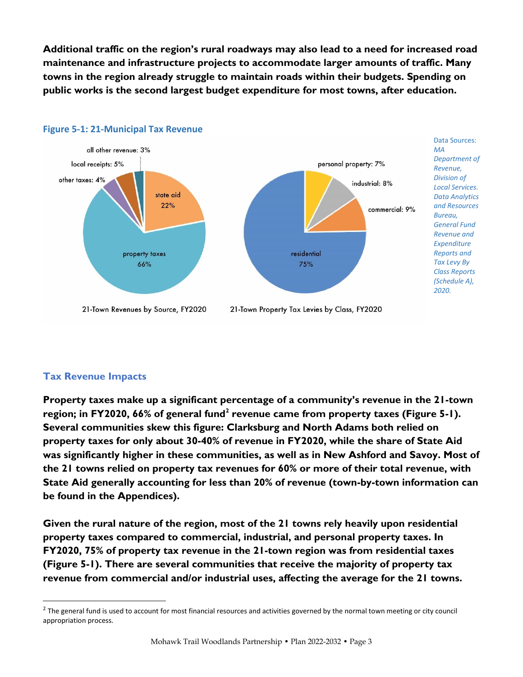Additional traffic on the region's rural roadways may also lead to a need for increased road maintenance and infrastructure projects to accommodate larger amounts of traffic. Many towns in the region already struggle to maintain roads within their budgets. Spending on public works is the second largest budget expenditure for most towns, after education.



## **Figure 5-1: 21-Municipal Tax Revenue**

## **Tax Revenue Impacts**

Property taxes make up a significant percentage of a community's revenue in the 21-town region; in FY2020, 66% of general fund<sup>2</sup> revenue came from property taxes (Figure 5-1). Several communities skew this figure: Clarksburg and North Adams both relied on property taxes for only about 30-40% of revenue in FY2020, while the share of State Aid was significantly higher in these communities, as well as in New Ashford and Savoy. Most of the 21 towns relied on property tax revenues for 60% or more of their total revenue, with State Aid generally accounting for less than 20% of revenue (town-by-town information can be found in the Appendices).

Given the rural nature of the region, most of the 21 towns rely heavily upon residential property taxes compared to commercial, industrial, and personal property taxes. In FY2020, 75% of property tax revenue in the 21-town region was from residential taxes (Figure 5-1). There are several communities that receive the majority of property tax revenue from commercial and/or industrial uses, affecting the average for the 21 towns.

 $^2$  The general fund is used to account for most financial resources and activities governed by the normal town meeting or city council appropriation process.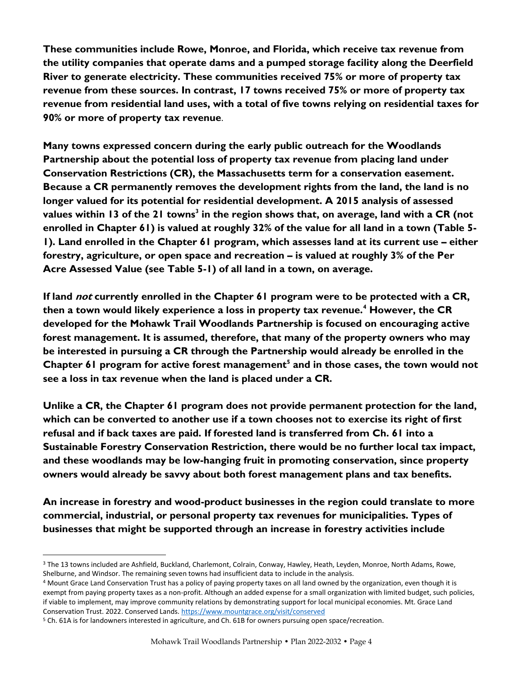These communities include Rowe, Monroe, and Florida, which receive tax revenue from the utility companies that operate dams and a pumped storage facility along the Deerfield River to generate electricity. These communities received 75% or more of property tax revenue from these sources. In contrast, 17 towns received 75% or more of property tax revenue from residential land uses, with a total of five towns relying on residential taxes for 90% or more of property tax revenue.

Many towns expressed concern during the early public outreach for the Woodlands Partnership about the potential loss of property tax revenue from placing land under Conservation Restrictions (CR), the Massachusetts term for a conservation easement. Because a CR permanently removes the development rights from the land, the land is no longer valued for its potential for residential development. A 2015 analysis of assessed values within 13 of the 21 towns<sup>3</sup> in the region shows that, on average, land with a CR (not enrolled in Chapter 61) is valued at roughly 32% of the value for all land in a town (Table 5- 1). Land enrolled in the Chapter 61 program, which assesses land at its current use – either forestry, agriculture, or open space and recreation – is valued at roughly 3% of the Per Acre Assessed Value (see Table 5-1) of all land in a town, on average.

If land *not* currently enrolled in the Chapter 61 program were to be protected with a CR, then a town would likely experience a loss in property tax revenue.<sup>4</sup> However, the CR developed for the Mohawk Trail Woodlands Partnership is focused on encouraging active forest management. It is assumed, therefore, that many of the property owners who may be interested in pursuing a CR through the Partnership would already be enrolled in the Chapter 61 program for active forest management<sup>5</sup> and in those cases, the town would not see a loss in tax revenue when the land is placed under a CR.

Unlike a CR, the Chapter 61 program does not provide permanent protection for the land, which can be converted to another use if a town chooses not to exercise its right of first refusal and if back taxes are paid. If forested land is transferred from Ch. 61 into a Sustainable Forestry Conservation Restriction, there would be no further local tax impact, and these woodlands may be low-hanging fruit in promoting conservation, since property owners would already be savvy about both forest management plans and tax benefits.

An increase in forestry and wood-product businesses in the region could translate to more commercial, industrial, or personal property tax revenues for municipalities. Types of businesses that might be supported through an increase in forestry activities include

<sup>3</sup> The 13 towns included are Ashfield, Buckland, Charlemont, Colrain, Conway, Hawley, Heath, Leyden, Monroe, North Adams, Rowe, Shelburne, and Windsor. The remaining seven towns had insufficient data to include in the analysis.

<sup>4</sup> Mount Grace Land Conservation Trust has a policy of paying property taxes on all land owned by the organization, even though it is exempt from paying property taxes as a non-profit. Although an added expense for a small organization with limited budget, such policies, if viable to implement, may improve community relations by demonstrating support for local municipal economies. Mt. Grace Land Conservation Trust. 2022. Conserved Lands[. https://www.mountgrace.org/visit/conserved](about:blank)

<sup>5</sup> Ch. 61A is for landowners interested in agriculture, and Ch. 61B for owners pursuing open space/recreation.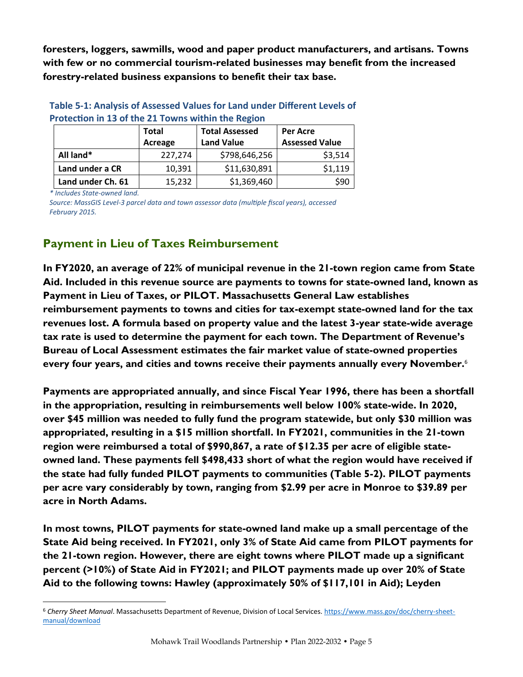foresters, loggers, sawmills, wood and paper product manufacturers, and artisans. Towns with few or no commercial tourism-related businesses may benefit from the increased forestry-related business expansions to benefit their tax base.

| Protection in 13 of the 21 Towns within the Region |                         |                                            |                                   |  |
|----------------------------------------------------|-------------------------|--------------------------------------------|-----------------------------------|--|
|                                                    | <b>Total</b><br>Acreage | <b>Total Assessed</b><br><b>Land Value</b> | Per Acre<br><b>Assessed Value</b> |  |
| All land*                                          | 227,274                 | \$798,646,256                              | \$3,514                           |  |
| Land under a CR                                    | 10,391                  | \$11,630,891                               | \$1,119                           |  |
| Land under Ch. 61                                  | 15,232                  | \$1,369,460                                | \$90                              |  |

# **Table 5-1: Analysis of Assessed Values for Land under Different Levels of**

*\* Includes State-owned land.*

*Source: MassGIS Level-3 parcel data and town assessor data (multiple fiscal years), accessed February 2015.*

# **Payment in Lieu of Taxes Reimbursement**

In FY2020, an average of 22% of municipal revenue in the 21-town region came from State Aid. Included in this revenue source are payments to towns for state-owned land, known as Payment in Lieu of Taxes, or PILOT. Massachusetts General Law establishes reimbursement payments to towns and cities for tax-exempt state-owned land for the tax revenues lost. A formula based on property value and the latest 3-year state-wide average tax rate is used to determine the payment for each town. The Department of Revenue's Bureau of Local Assessment estimates the fair market value of state-owned properties every four years, and cities and towns receive their payments annually every November.<sup>6</sup>

Payments are appropriated annually, and since Fiscal Year 1996, there has been a shortfall in the appropriation, resulting in reimbursements well below 100% state-wide. In 2020, over \$45 million was needed to fully fund the program statewide, but only \$30 million was appropriated, resulting in a \$15 million shortfall. In FY2021, communities in the 21-town region were reimbursed a total of \$990,867, a rate of \$12.35 per acre of eligible stateowned land. These payments fell \$498,433 short of what the region would have received if the state had fully funded PILOT payments to communities (Table 5-2). PILOT payments per acre vary considerably by town, ranging from \$2.99 per acre in Monroe to \$39.89 per acre in North Adams.

In most towns, PILOT payments for state-owned land make up a small percentage of the State Aid being received. In FY2021, only 3% of State Aid came from PILOT payments for the 21-town region. However, there are eight towns where PILOT made up a significant percent (>10%) of State Aid in FY2021; and PILOT payments made up over 20% of State Aid to the following towns: Hawley (approximately 50% of \$117,101 in Aid); Leyden

<sup>6</sup> *Cherry Sheet Manual*. Massachusetts Department of Revenue, Division of Local Services. [https://www.mass.gov/doc/cherry-sheet](about:blank)[manual/download](about:blank)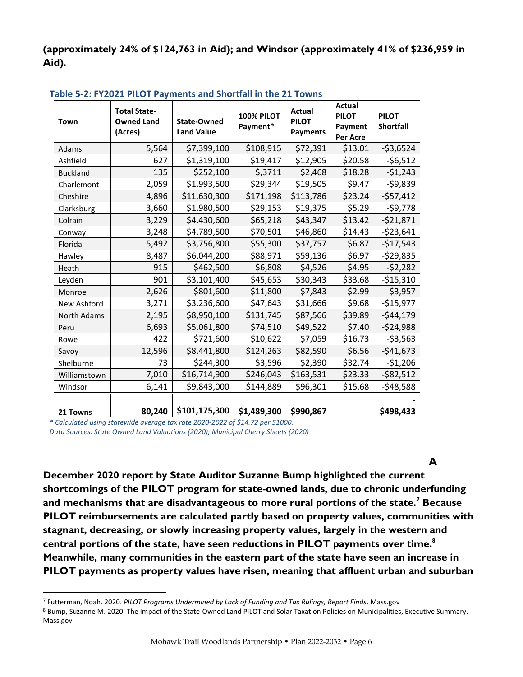(approximately 24% of \$124,763 in Aid); and Windsor (approximately 41% of \$236,959 in Aid).

| Town               | <b>Total State-</b><br><b>Owned Land</b><br>(Acres) | <b>State-Owned</b><br><b>Land Value</b> | 100% PILOT<br>Payment* | <b>Actual</b><br><b>PILOT</b><br><b>Payments</b> | <b>Actual</b><br><b>PILOT</b><br>Payment<br>Per Acre | <b>PILOT</b><br><b>Shortfall</b> |
|--------------------|-----------------------------------------------------|-----------------------------------------|------------------------|--------------------------------------------------|------------------------------------------------------|----------------------------------|
| Adams              | 5,564                                               | \$7,399,100                             | \$108,915              | \$72,391                                         | \$13.01                                              | $-$ \$3,6524                     |
| Ashfield           | 627                                                 | \$1,319,100                             | \$19,417               | \$12,905                                         | \$20.58                                              | $-56,512$                        |
| <b>Buckland</b>    | 135                                                 | \$252,100                               | \$,3711                | \$2,468                                          | \$18.28                                              | $-51,243$                        |
| Charlemont         | 2,059                                               | \$1,993,500                             | \$29,344               | \$19,505                                         | \$9.47                                               | $-59,839$                        |
| Cheshire           | 4,896                                               | \$11,630,300                            | \$171,198              | \$113,786                                        | \$23.24                                              | $-$57,412$                       |
| Clarksburg         | 3,660                                               | \$1,980,500                             | \$29,153               | \$19,375                                         | \$5.29                                               | $-59,778$                        |
| Colrain            | 3,229                                               | \$4,430,600                             | \$65,218               | \$43,347                                         | \$13.42                                              | $-521,871$                       |
| Conway             | 3,248                                               | \$4,789,500                             | \$70,501               | \$46,860                                         | \$14.43                                              | $-523,641$                       |
| Florida            | 5,492                                               | \$3,756,800                             | \$55,300               | \$37,757                                         | \$6.87                                               | $-$17,543$                       |
| Hawley             | 8,487                                               | \$6,044,200                             | \$88,971               | \$59,136                                         | \$6.97                                               | $-529,835$                       |
| Heath              | 915                                                 | \$462,500                               | \$6,808                | \$4,526                                          | \$4.95                                               | $-52,282$                        |
| Leyden             | 901                                                 | \$3,101,400                             | \$45,653               | \$30,343                                         | \$33.68                                              | $-515,310$                       |
| Monroe             | 2,626                                               | \$801,600                               | \$11,800               | \$7,843                                          | \$2.99                                               | $-53,957$                        |
| New Ashford        | 3,271                                               | \$3,236,600                             | \$47,643               | \$31,666                                         | \$9.68                                               | $-$15,977$                       |
| <b>North Adams</b> | 2,195                                               | \$8,950,100                             | \$131,745              | \$87,566                                         | \$39.89                                              | $-544,179$                       |
| Peru               | 6,693                                               | \$5,061,800                             | \$74,510               | \$49,522                                         | \$7.40                                               | $-524,988$                       |
| Rowe               | 422                                                 | \$721,600                               | \$10,622               | \$7,059                                          | \$16.73                                              | $-53,563$                        |
| Savoy              | 12,596                                              | \$8,441,800                             | \$124,263              | \$82,590                                         | \$6.56                                               | $-$41,673$                       |
| Shelburne          | 73                                                  | \$244,300                               | \$3,596                | \$2,390                                          | \$32.74                                              | $-51,206$                        |
| Williamstown       | 7,010                                               | \$16,714,900                            | \$246,043              | \$163,531                                        | \$23.33                                              | $-582,512$                       |
| Windsor            | 6,141                                               | \$9,843,000                             | \$144,889              | \$96,301                                         | \$15.68                                              | $-548,588$                       |
| 21 Towns           | 80,240                                              | \$101,175,300                           | \$1,489,300            | \$990,867                                        |                                                      | \$498,433                        |

### **Table 5-2: FY2021 PILOT Payments and Shortfall in the 21 Towns**

*\* Calculated using statewide average tax rate 2020-2022 of \$14.72 per \$1000. Data Sources: State Owned Land Valuations (2020); Municipal Cherry Sheets (2020)* 

A

December 2020 report by State Auditor Suzanne Bump highlighted the current shortcomings of the PILOT program for state-owned lands, due to chronic underfunding and mechanisms that are disadvantageous to more rural portions of the state.<sup>7</sup> Because PILOT reimbursements are calculated partly based on property values, communities with stagnant, decreasing, or slowly increasing property values, largely in the western and central portions of the state, have seen reductions in PILOT payments over time. $^8$ Meanwhile, many communities in the eastern part of the state have seen an increase in PILOT payments as property values have risen, meaning that affluent urban and suburban

8 Bump, Suzanne M. 2020. The Impact of the State-Owned Land PILOT and Solar Taxation Policies on Municipalities, Executive Summary. Mass.gov

<sup>7</sup> Futterman, Noah. 2020. *PILOT Programs Undermined by Lack of Funding and Tax Rulings, Report Finds*. Mass.gov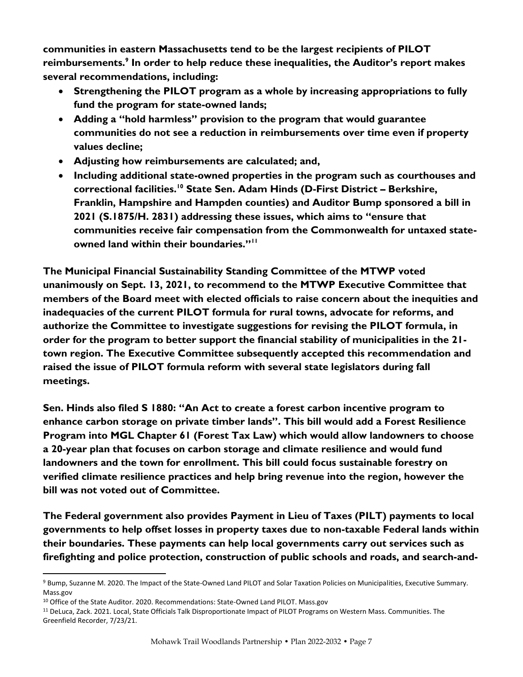communities in eastern Massachusetts tend to be the largest recipients of PILOT reimbursements.<sup>9</sup> In order to help reduce these inequalities, the Auditor's report makes several recommendations, including:

- Strengthening the PILOT program as a whole by increasing appropriations to fully fund the program for state-owned lands;
- Adding a "hold harmless" provision to the program that would guarantee communities do not see a reduction in reimbursements over time even if property values decline;
- Adjusting how reimbursements are calculated; and,
- Including additional state-owned properties in the program such as courthouses and correctional facilities.<sup>10</sup> State Sen. Adam Hinds (D-First District – Berkshire, Franklin, Hampshire and Hampden counties) and Auditor Bump sponsored a bill in 2021 (S.1875/H. 2831) addressing these issues, which aims to "ensure that communities receive fair compensation from the Commonwealth for untaxed stateowned land within their boundaries."<sup>11</sup>

The Municipal Financial Sustainability Standing Committee of the MTWP voted unanimously on Sept. 13, 2021, to recommend to the MTWP Executive Committee that members of the Board meet with elected officials to raise concern about the inequities and inadequacies of the current PILOT formula for rural towns, advocate for reforms, and authorize the Committee to investigate suggestions for revising the PILOT formula, in order for the program to better support the financial stability of municipalities in the 21 town region. The Executive Committee subsequently accepted this recommendation and raised the issue of PILOT formula reform with several state legislators during fall meetings.

Sen. Hinds also filed S 1880: "An Act to create a forest carbon incentive program to enhance carbon storage on private timber lands". This bill would add a Forest Resilience Program into MGL Chapter 61 (Forest Tax Law) which would allow landowners to choose a 20-year plan that focuses on carbon storage and climate resilience and would fund landowners and the town for enrollment. This bill could focus sustainable forestry on verified climate resilience practices and help bring revenue into the region, however the bill was not voted out of Committee.

The Federal government also provides Payment in Lieu of Taxes (PILT) payments to local governments to help offset losses in property taxes due to non-taxable Federal lands within their boundaries. These payments can help local governments carry out services such as firefighting and police protection, construction of public schools and roads, and search-and-

<sup>9</sup> Bump, Suzanne M. 2020. The Impact of the State-Owned Land PILOT and Solar Taxation Policies on Municipalities, Executive Summary. Mass.gov

<sup>&</sup>lt;sup>10</sup> Office of the State Auditor. 2020. Recommendations: State-Owned Land PILOT. Mass.gov

<sup>11</sup> DeLuca, Zack. 2021. Local, State Officials Talk Disproportionate Impact of PILOT Programs on Western Mass. Communities. The Greenfield Recorder, 7/23/21.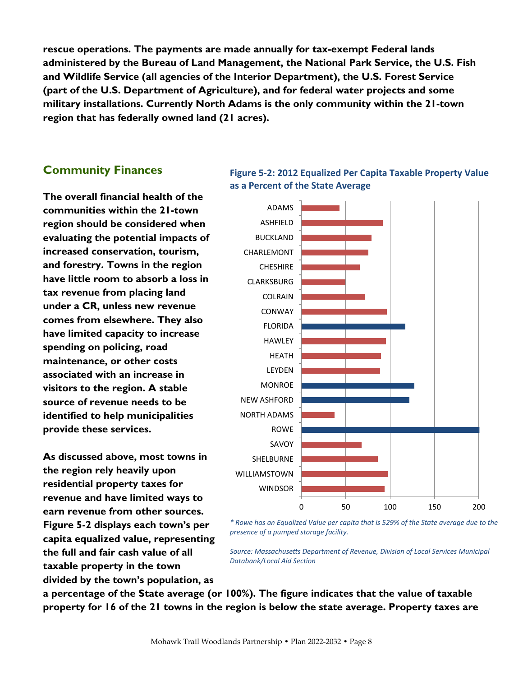rescue operations. The payments are made annually for tax-exempt Federal lands administered by the Bureau of Land Management, the National Park Service, the U.S. Fish and Wildlife Service (all agencies of the Interior Department), the U.S. Forest Service (part of the U.S. Department of Agriculture), and for federal water projects and some military installations. Currently North Adams is the only community within the 21-town region that has federally owned land (21 acres).

## **Community Finances**

The overall financial health of the communities within the 21-town region should be considered when evaluating the potential impacts of increased conservation, tourism, and forestry. Towns in the region have little room to absorb a loss in tax revenue from placing land under a CR, unless new revenue comes from elsewhere. They also have limited capacity to increase spending on policing, road maintenance, or other costs associated with an increase in visitors to the region. A stable source of revenue needs to be identified to help municipalities provide these services.

As discussed above, most towns in the region rely heavily upon residential property taxes for revenue and have limited ways to earn revenue from other sources. Figure 5-2 displays each town's per capita equalized value, representing the full and fair cash value of all taxable property in the town divided by the town's population, as

a percentage of the State average (or 100%). The figure indicates that the value of taxable property for 16 of the 21 towns in the region is below the state average. Property taxes are

*Databank/Local Aid Section*

*presence of a pumped storage facility.*



*Source: Massachusetts Department of Revenue, Division of Local Services Municipal* 

## **Figure 5-2: 2012 Equalized Per Capita Taxable Property Value as a Percent of the State Average**

Mohawk Trail Woodlands Partnership • Plan 2022-2032 • Page 8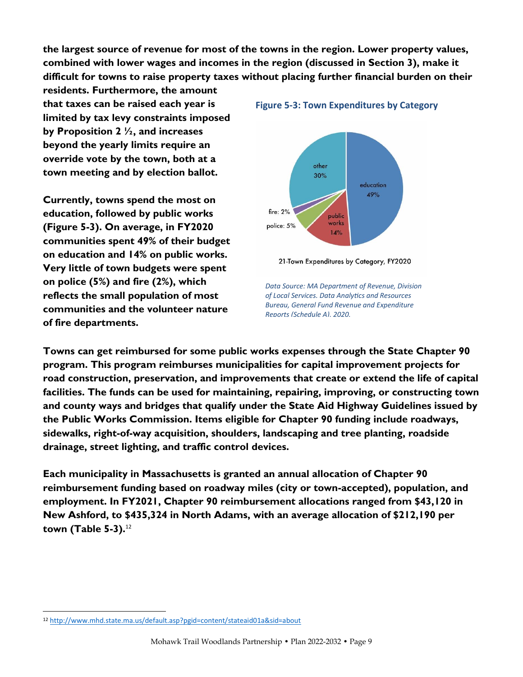the largest source of revenue for most of the towns in the region. Lower property values, combined with lower wages and incomes in the region (discussed in Section 3), make it difficult for towns to raise property taxes without placing further financial burden on their

residents. Furthermore, the amount that taxes can be raised each year is limited by tax levy constraints imposed by Proposition 2  $\frac{1}{2}$ , and increases beyond the yearly limits require an override vote by the town, both at a town meeting and by election ballot.

Currently, towns spend the most on education, followed by public works (Figure 5-3). On average, in FY2020 communities spent 49% of their budget on education and 14% on public works. Very little of town budgets were spent on police (5%) and fire (2%), which reflects the small population of most communities and the volunteer nature of fire departments.

### **Figure 5-3: Town Expenditures by Category**



21-Town Expenditures by Category, FY2020

*Data Source: MA Department of Revenue, Division of Local Services. Data Analytics and Resources Bureau, General Fund Revenue and Expenditure Reports (Schedule A), 2020.*

Towns can get reimbursed for some public works expenses through the State Chapter 90 program. This program reimburses municipalities for capital improvement projects for road construction, preservation, and improvements that create or extend the life of capital facilities. The funds can be used for maintaining, repairing, improving, or constructing town and county ways and bridges that qualify under the State Aid Highway Guidelines issued by the Public Works Commission. Items eligible for Chapter 90 funding include roadways, sidewalks, right-of-way acquisition, shoulders, landscaping and tree planting, roadside drainage, street lighting, and traffic control devices.

Each municipality in Massachusetts is granted an annual allocation of Chapter 90 reimbursement funding based on roadway miles (city or town-accepted), population, and employment. In FY2021, Chapter 90 reimbursement allocations ranged from \$43,120 in New Ashford, to \$435,324 in North Adams, with an average allocation of \$212,190 per town (Table 5-3). 12

<sup>12</sup> [http://www.mhd.state.ma.us/default.asp?pgid=content/stateaid01a&sid=about](about:blank)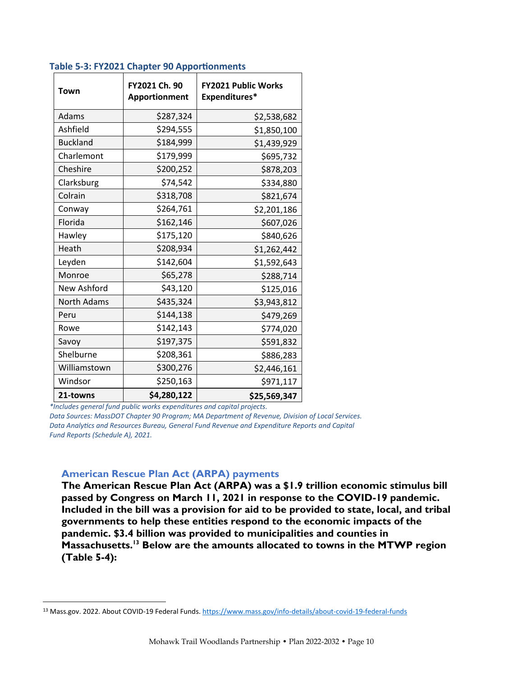| Town               | FY2021 Ch. 90<br>Apportionment | <b>FY2021 Public Works</b><br>Expenditures* |
|--------------------|--------------------------------|---------------------------------------------|
| Adams              | \$287,324                      | \$2,538,682                                 |
| Ashfield           | \$294,555                      | \$1,850,100                                 |
| <b>Buckland</b>    | \$184,999                      | \$1,439,929                                 |
| Charlemont         | \$179,999                      | \$695,732                                   |
| Cheshire           | \$200,252                      | \$878,203                                   |
| Clarksburg         | \$74,542                       | \$334,880                                   |
| Colrain            | \$318,708                      | \$821,674                                   |
| Conway             | \$264,761                      | \$2,201,186                                 |
| Florida            | \$162,146                      | \$607,026                                   |
| Hawley             | \$175,120                      | \$840,626                                   |
| Heath              | \$208,934                      | \$1,262,442                                 |
| Leyden             | \$142,604                      | \$1,592,643                                 |
| Monroe             | \$65,278                       | \$288,714                                   |
| New Ashford        | \$43,120                       | \$125,016                                   |
| <b>North Adams</b> | \$435,324                      | \$3,943,812                                 |
| Peru               | \$144,138                      | \$479,269                                   |
| Rowe               | \$142,143                      | \$774,020                                   |
| Savoy              | \$197,375                      | \$591,832                                   |
| Shelburne          | \$208,361                      | \$886,283                                   |
| Williamstown       | \$300,276                      | \$2,446,161                                 |
| Windsor            | \$250,163                      | \$971,117                                   |
| 21-towns           | \$4,280,122                    | \$25,569,347                                |

#### **Table 5-3: FY2021 Chapter 90 Apportionments**

*\*Includes general fund public works expenditures and capital projects.*

*Data Sources: MassDOT Chapter 90 Program; MA Department of Revenue, Division of Local Services. Data Analytics and Resources Bureau, General Fund Revenue and Expenditure Reports and Capital Fund Reports (Schedule A), 2021.*

### **American Rescue Plan Act (ARPA) payments**

The American Rescue Plan Act (ARPA) was a \$1.9 trillion economic stimulus bill passed by Congress on March 11, 2021 in response to the COVID-19 pandemic. Included in the bill was a provision for aid to be provided to state, local, and tribal governments to help these entities respond to the economic impacts of the pandemic. \$3.4 billion was provided to municipalities and counties in Massachusetts.<sup>13</sup> Below are the amounts allocated to towns in the MTWP region (Table 5-4):

<sup>&</sup>lt;sup>13</sup> Mass.gov. 2022. About COVID-19 Federal Funds[. https://www.mass.gov/info-details/about-covid-19-federal-funds](about:blank)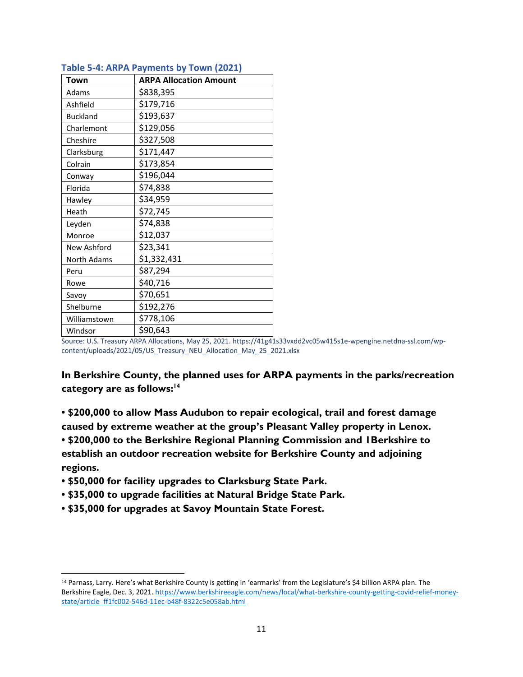| Town            | <b>ARPA Allocation Amount</b> |
|-----------------|-------------------------------|
| Adams           | \$838,395                     |
| Ashfield        | \$179,716                     |
| <b>Buckland</b> | \$193,637                     |
| Charlemont      | \$129,056                     |
| Cheshire        | \$327,508                     |
| Clarksburg      | \$171,447                     |
| Colrain         | \$173,854                     |
| Conway          | \$196,044                     |
| Florida         | \$74,838                      |
| Hawley          | \$34,959                      |
| Heath           | \$72,745                      |
| Leyden          | \$74,838                      |
| Monroe          | \$12,037                      |
| New Ashford     | \$23,341                      |
| North Adams     | \$1,332,431                   |
| Peru            | \$87,294                      |
| Rowe            | \$40,716                      |
| Savoy           | \$70,651                      |
| Shelburne       | \$192,276                     |
| Williamstown    | \$778,106                     |
| Windsor         | \$90,643                      |

### **Table 5-4: ARPA Payments by Town (2021)**

Source: U.S. Treasury ARPA Allocations, May 25, 2021. https://41g41s33vxdd2vc05w415s1e-wpengine.netdna-ssl.com/wpcontent/uploads/2021/05/US\_Treasury\_NEU\_Allocation\_May\_25\_2021.xlsx

In Berkshire County, the planned uses for ARPA payments in the parks/recreation category are as follows: 14

• \$200,000 to allow Mass Audubon to repair ecological, trail and forest damage caused by extreme weather at the group's Pleasant Valley property in Lenox. • \$200,000 to the Berkshire Regional Planning Commission and 1Berkshire to establish an outdoor recreation website for Berkshire County and adjoining regions.

- \$50,000 for facility upgrades to Clarksburg State Park.
- \$35,000 to upgrade facilities at Natural Bridge State Park.
- \$35,000 for upgrades at Savoy Mountain State Forest.

<sup>14</sup> Parnass, Larry. Here's what Berkshire County is getting in 'earmarks' from the Legislature's \$4 billion ARPA plan. The Berkshire Eagle, Dec. 3, 2021. [https://www.berkshireeagle.com/news/local/what-berkshire-county-getting-covid-relief-money](about:blank)[state/article\\_ff1fc002-546d-11ec-b48f-8322c5e058ab.html](about:blank)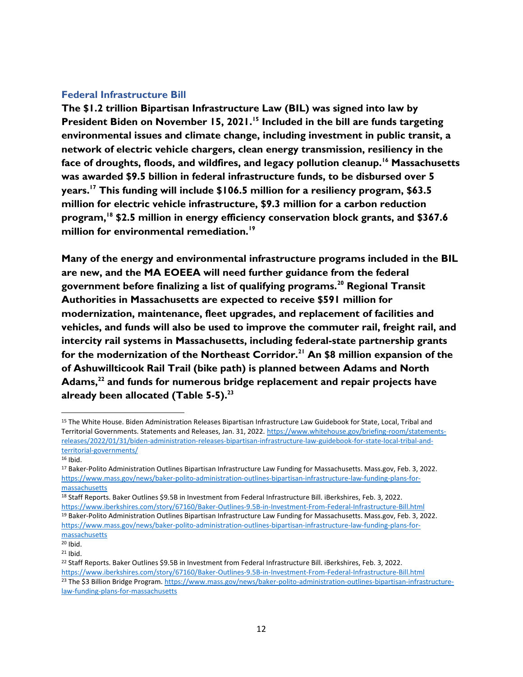## **Federal Infrastructure Bill**

The \$1.2 trillion Bipartisan Infrastructure Law (BIL) was signed into law by President Biden on November 15, 2021.<sup>15</sup> Included in the bill are funds targeting environmental issues and climate change, including investment in public transit, a network of electric vehicle chargers, clean energy transmission, resiliency in the face of droughts, floods, and wildfires, and legacy pollution cleanup.<sup>16</sup> Massachusetts was awarded \$9.5 billion in federal infrastructure funds, to be disbursed over 5 years.<sup>17</sup> This funding will include \$106.5 million for a resiliency program, \$63.5 million for electric vehicle infrastructure, \$9.3 million for a carbon reduction program, $18$  \$2.5 million in energy efficiency conservation block grants, and \$367.6 million for environmental remediation.<sup>19</sup>

Many of the energy and environmental infrastructure programs included in the BIL are new, and the MA EOEEA will need further guidance from the federal government before finalizing a list of qualifying programs.<sup>20</sup> Regional Transit Authorities in Massachusetts are expected to receive \$591 million for modernization, maintenance, fleet upgrades, and replacement of facilities and vehicles, and funds will also be used to improve the commuter rail, freight rail, and intercity rail systems in Massachusetts, including federal-state partnership grants for the modernization of the Northeast Corridor.<sup>21</sup> An \$8 million expansion of the of Ashuwillticook Rail Trail (bike path) is planned between Adams and North Adams, $^{22}$  and funds for numerous bridge replacement and repair projects have already been allocated (Table  $5-5$ ).<sup>23</sup>

<sup>15</sup> The White House. Biden Administration Releases Bipartisan Infrastructure Law Guidebook for State, Local, Tribal and Territorial Governments. Statements and Releases, Jan. 31, 2022[. https://www.whitehouse.gov/briefing-room/statements](about:blank)[releases/2022/01/31/biden-administration-releases-bipartisan-infrastructure-law-guidebook-for-state-local-tribal-and](about:blank)[territorial-governments/](about:blank)

 $16$  Ibid.

<sup>17</sup> Baker-Polito Administration Outlines Bipartisan Infrastructure Law Funding for Massachusetts. Mass.gov, Feb. 3, 2022. [https://www.mass.gov/news/baker-polito-administration-outlines-bipartisan-infrastructure-law-funding-plans-for](about:blank)[massachusetts](about:blank)

<sup>18</sup> Staff Reports. Baker Outlines \$9.5B in Investment from Federal Infrastructure Bill. iBerkshires, Feb. 3, 2022.

[https://www.iberkshires.com/story/67160/Baker-Outlines-9.5B-in-Investment-From-Federal-Infrastructure-Bill.html](about:blank) <sup>19</sup> Baker-Polito Administration Outlines Bipartisan Infrastructure Law Funding for Massachusetts. Mass.gov, Feb. 3, 2022. [https://www.mass.gov/news/baker-polito-administration-outlines-bipartisan-infrastructure-law-funding-plans-for](about:blank)[massachusetts](about:blank)

 $20$  Ibid.

 $21$  Ibid.

<sup>&</sup>lt;sup>22</sup> Staff Reports. Baker Outlines \$9.5B in Investment from Federal Infrastructure Bill. iBerkshires, Feb. 3, 2022. [https://www.iberkshires.com/story/67160/Baker-Outlines-9.5B-in-Investment-From-Federal-Infrastructure-Bill.html](about:blank) <sup>23</sup> The \$3 Billion Bridge Program. [https://www.mass.gov/news/baker-polito-administration-outlines-bipartisan-infrastructure](about:blank)[law-funding-plans-for-massachusetts](about:blank)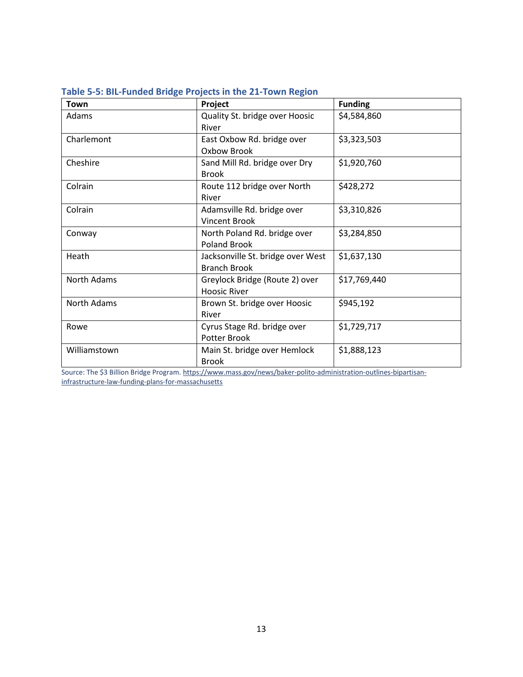| Town               | Project                                                  | <b>Funding</b> |  |
|--------------------|----------------------------------------------------------|----------------|--|
| Adams              | Quality St. bridge over Hoosic<br>River                  | \$4,584,860    |  |
| Charlemont         | East Oxbow Rd. bridge over<br>Oxbow Brook                | \$3,323,503    |  |
| Cheshire           | Sand Mill Rd. bridge over Dry<br><b>Brook</b>            | \$1,920,760    |  |
| Colrain            | Route 112 bridge over North<br>River                     | \$428,272      |  |
| Colrain            | Adamsville Rd. bridge over<br><b>Vincent Brook</b>       | \$3,310,826    |  |
| Conway             | North Poland Rd. bridge over<br><b>Poland Brook</b>      | \$3,284,850    |  |
| Heath              | Jacksonville St. bridge over West<br><b>Branch Brook</b> | \$1,637,130    |  |
| North Adams        | Greylock Bridge (Route 2) over<br><b>Hoosic River</b>    | \$17,769,440   |  |
| <b>North Adams</b> | Brown St. bridge over Hoosic<br>River                    | \$945,192      |  |
| Rowe               | Cyrus Stage Rd. bridge over<br>Potter Brook              | \$1,729,717    |  |
| Williamstown       | Main St. bridge over Hemlock<br><b>Brook</b>             | \$1,888,123    |  |

| Table 5-5: BIL-Funded Bridge Projects in the 21-Town Region |  |  |  |  |
|-------------------------------------------------------------|--|--|--|--|
|-------------------------------------------------------------|--|--|--|--|

Source: The \$3 Billion Bridge Program[. https://www.mass.gov/news/baker-polito-administration-outlines-bipartisan](about:blank)[infrastructure-law-funding-plans-for-massachusetts](about:blank)